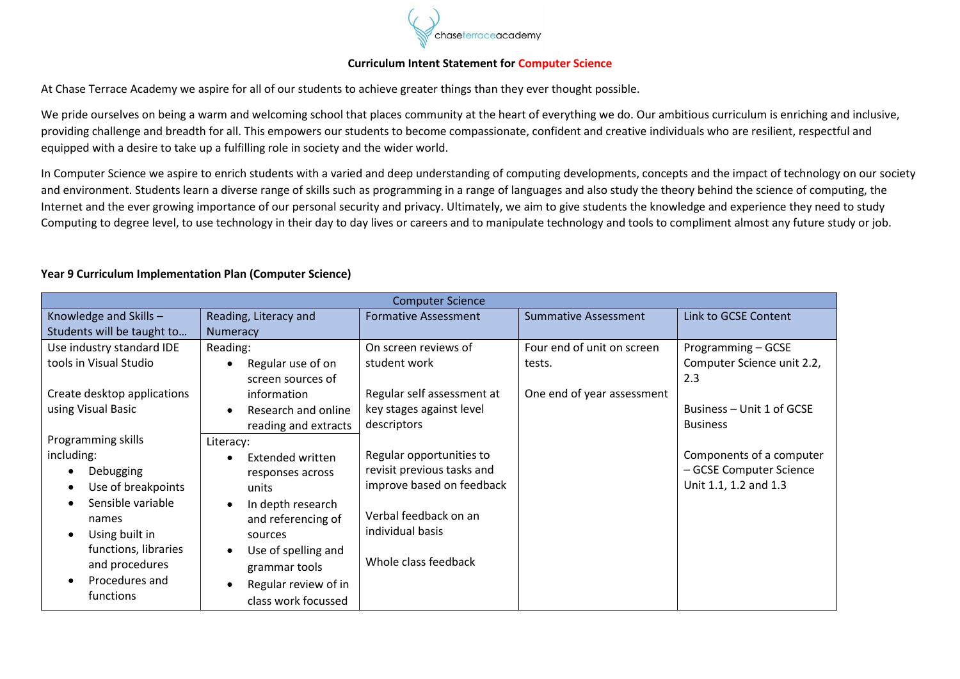

## **Curriculum Intent Statement for Computer Science**

At Chase Terrace Academy we aspire for all of our students to achieve greater things than they ever thought possible.

We pride ourselves on being a warm and welcoming school that places community at the heart of everything we do. Our ambitious curriculum is enriching and inclusive, providing challenge and breadth for all. This empowers our students to become compassionate, confident and creative individuals who are resilient, respectful and equipped with a desire to take up a fulfilling role in society and the wider world.

In Computer Science we aspire to enrich students with a varied and deep understanding of computing developments, concepts and the impact of technology on our society and environment. Students learn a diverse range of skills such as programming in a range of languages and also study the theory behind the science of computing, the Internet and the ever growing importance of our personal security and privacy. Ultimately, we aim to give students the knowledge and experience they need to study Computing to degree level, to use technology in their day to day lives or careers and to manipulate technology and tools to compliment almost any future study or job.

| <b>Computer Science</b>     |                       |                             |                             |                            |  |  |  |
|-----------------------------|-----------------------|-----------------------------|-----------------------------|----------------------------|--|--|--|
| Knowledge and Skills-       | Reading, Literacy and | <b>Formative Assessment</b> | <b>Summative Assessment</b> | Link to GCSE Content       |  |  |  |
| Students will be taught to  | Numeracy              |                             |                             |                            |  |  |  |
| Use industry standard IDE   | Reading:              | On screen reviews of        | Four end of unit on screen  | Programming – GCSE         |  |  |  |
| tools in Visual Studio      | Regular use of on     | student work                | tests.                      | Computer Science unit 2.2, |  |  |  |
|                             | screen sources of     |                             |                             | 2.3                        |  |  |  |
| Create desktop applications | information           | Regular self assessment at  | One end of year assessment  |                            |  |  |  |
| using Visual Basic          | Research and online   | key stages against level    |                             | Business - Unit 1 of GCSE  |  |  |  |
|                             | reading and extracts  | descriptors                 |                             | <b>Business</b>            |  |  |  |
| Programming skills          | Literacy:             |                             |                             |                            |  |  |  |
| including:                  | Extended written      | Regular opportunities to    |                             | Components of a computer   |  |  |  |
| Debugging                   | responses across      | revisit previous tasks and  |                             | - GCSE Computer Science    |  |  |  |
| Use of breakpoints          | units                 | improve based on feedback   |                             | Unit 1.1, 1.2 and 1.3      |  |  |  |
| Sensible variable           | In depth research     |                             |                             |                            |  |  |  |
| names                       | and referencing of    | Verbal feedback on an       |                             |                            |  |  |  |
| Using built in              | sources               | individual basis            |                             |                            |  |  |  |
| functions, libraries        | Use of spelling and   |                             |                             |                            |  |  |  |
| and procedures              | grammar tools         | Whole class feedback        |                             |                            |  |  |  |
| Procedures and              | Regular review of in  |                             |                             |                            |  |  |  |
| functions                   | class work focussed   |                             |                             |                            |  |  |  |

## **Year 9 Curriculum Implementation Plan (Computer Science)**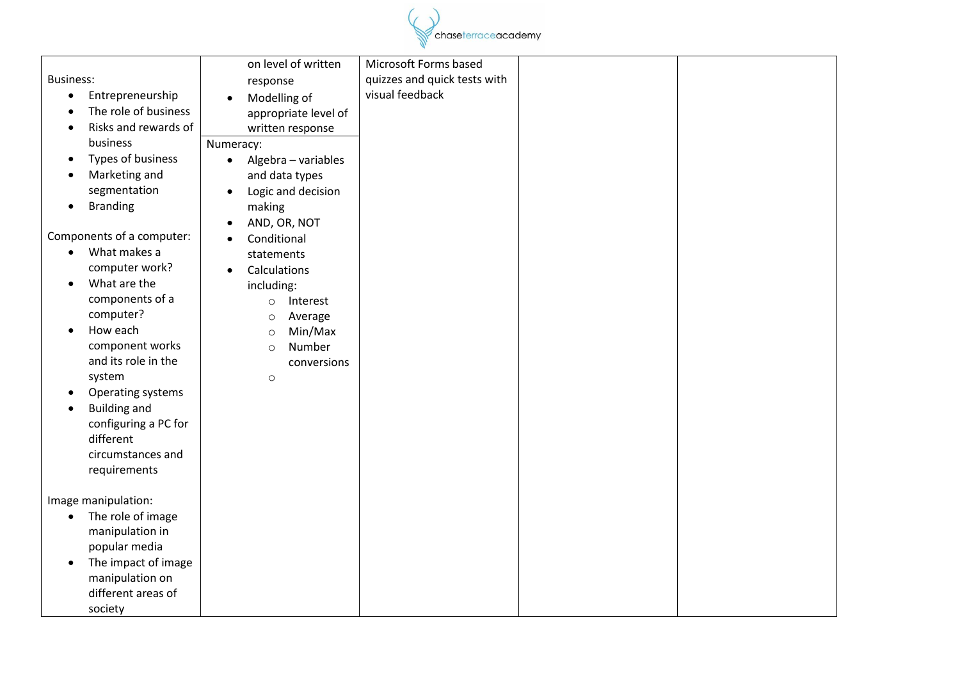

|                  |                                       | on level of written<br>Microsoft Forms based |  |
|------------------|---------------------------------------|----------------------------------------------|--|
| <b>Business:</b> |                                       | quizzes and quick tests with<br>response     |  |
| $\bullet$        | Entrepreneurship                      | visual feedback<br>Modelling of              |  |
|                  | The role of business                  | appropriate level of                         |  |
| $\bullet$        | Risks and rewards of                  | written response                             |  |
|                  | business                              | Numeracy:                                    |  |
| $\bullet$        | Types of business                     | Algebra - variables<br>$\bullet$             |  |
|                  | Marketing and                         | and data types                               |  |
|                  | segmentation                          | Logic and decision<br>$\bullet$              |  |
| $\bullet$        | <b>Branding</b>                       | making                                       |  |
|                  |                                       | AND, OR, NOT<br>$\bullet$                    |  |
|                  | Components of a computer:             | Conditional<br>$\bullet$                     |  |
| $\bullet$        | What makes a                          | statements                                   |  |
|                  | computer work?                        | Calculations<br>$\bullet$                    |  |
| $\bullet$        | What are the                          | including:                                   |  |
|                  | components of a                       | Interest<br>$\circ$                          |  |
|                  | computer?                             | Average<br>$\circ$                           |  |
| $\bullet$        | How each                              | Min/Max<br>$\circ$                           |  |
|                  | component works                       | Number<br>$\circ$                            |  |
|                  | and its role in the                   | conversions                                  |  |
|                  | system                                | $\circ$                                      |  |
| $\bullet$        | Operating systems                     |                                              |  |
|                  | <b>Building and</b>                   |                                              |  |
|                  | configuring a PC for                  |                                              |  |
|                  | different                             |                                              |  |
|                  | circumstances and                     |                                              |  |
|                  | requirements                          |                                              |  |
|                  |                                       |                                              |  |
|                  | Image manipulation:                   |                                              |  |
| $\bullet$        | The role of image                     |                                              |  |
|                  | manipulation in                       |                                              |  |
|                  | popular media                         |                                              |  |
| $\bullet$        | The impact of image                   |                                              |  |
|                  | manipulation on<br>different areas of |                                              |  |
|                  |                                       |                                              |  |
|                  | society                               |                                              |  |